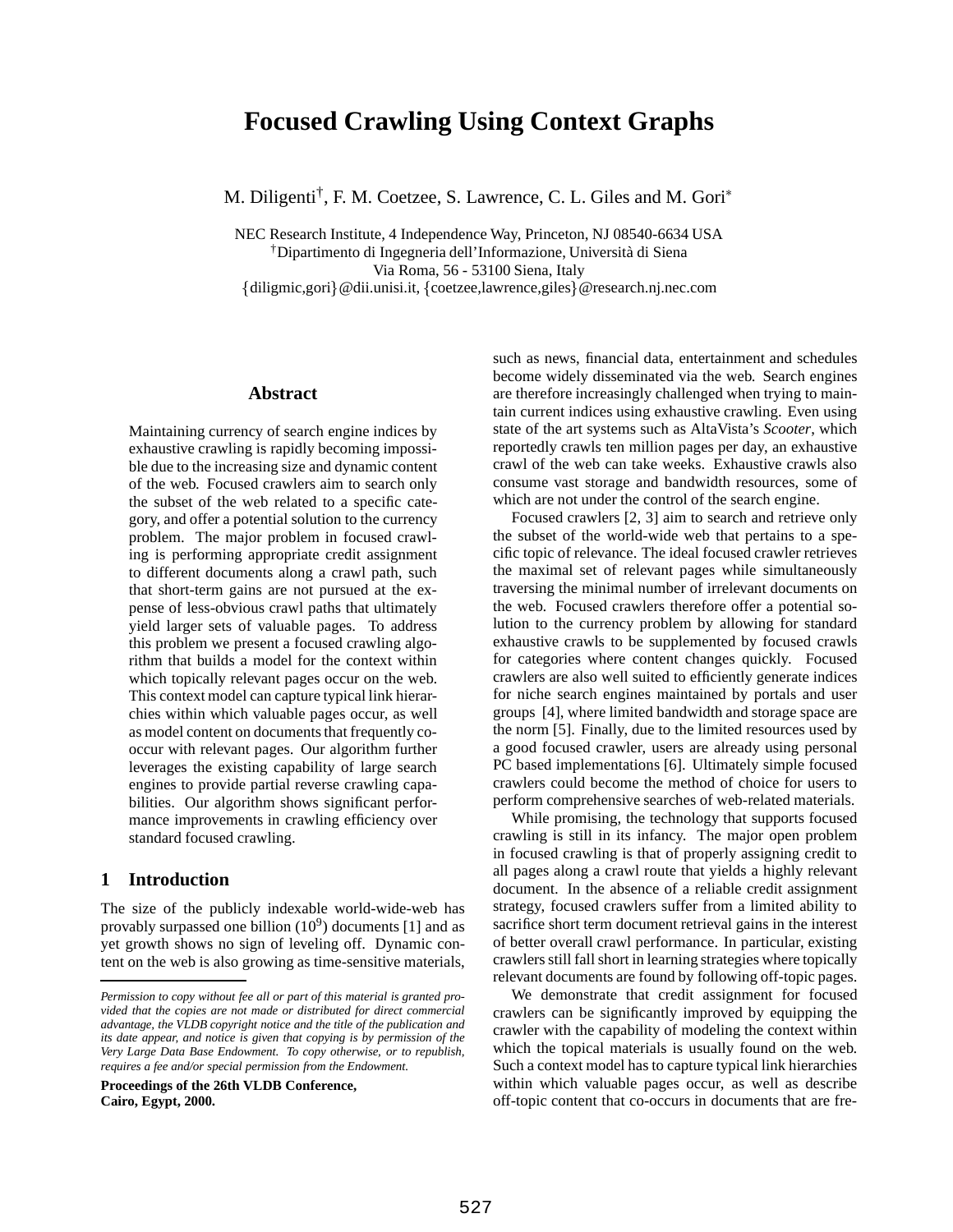# **Focused Crawling Using Context Graphs**

M. Diligenti<sup>†</sup>, F. M. Coetzee, S. Lawrence, C. L. Giles and M. Gori<sup>\*</sup>

NEC Research Institute, 4 Independence Way, Princeton, NJ 08540-6634 USA †Dipartimento di Ingegneria dell'Informazione, Universit`a di Siena Via Roma, 56 - 53100 Siena, Italy {diligmic,gori}@dii.unisi.it, {coetzee,lawrence,giles}@research.nj.nec.com

## **Abstract**

Maintaining currency of search engine indices by exhaustive crawling is rapidly becoming impossible due to the increasing size and dynamic content of the web. Focused crawlers aim to search only the subset of the web related to a specific category, and offer a potential solution to the currency problem. The major problem in focused crawling is performing appropriate credit assignment to different documents along a crawl path, such that short-term gains are not pursued at the expense of less-obvious crawl paths that ultimately yield larger sets of valuable pages. To address this problem we present a focused crawling algorithm that builds a model for the context within which topically relevant pages occur on the web. This context model can capture typical link hierarchies within which valuable pages occur, as well as model content on documents that frequently cooccur with relevant pages. Our algorithm further leverages the existing capability of large search engines to provide partial reverse crawling capabilities. Our algorithm shows significant performance improvements in crawling efficiency over standard focused crawling.

## **1 Introduction**

The size of the publicly indexable world-wide-web has provably surpassed one billion  $(10^9)$  documents [1] and as yet growth shows no sign of leveling off. Dynamic content on the web is also growing as time-sensitive materials,

**Proceedings of the 26th VLDB Conference, Cairo, Egypt, 2000.**

such as news, financial data, entertainment and schedules become widely disseminated via the web. Search engines are therefore increasingly challenged when trying to maintain current indices using exhaustive crawling. Even using state of the art systems such as AltaVista's *Scooter*, which reportedly crawls ten million pages per day, an exhaustive crawl of the web can take weeks. Exhaustive crawls also consume vast storage and bandwidth resources, some of which are not under the control of the search engine.

Focused crawlers [2, 3] aim to search and retrieve only the subset of the world-wide web that pertains to a specific topic of relevance. The ideal focused crawler retrieves the maximal set of relevant pages while simultaneously traversing the minimal number of irrelevant documents on the web. Focused crawlers therefore offer a potential solution to the currency problem by allowing for standard exhaustive crawls to be supplemented by focused crawls for categories where content changes quickly. Focused crawlers are also well suited to efficiently generate indices for niche search engines maintained by portals and user groups [4], where limited bandwidth and storage space are the norm [5]. Finally, due to the limited resources used by a good focused crawler, users are already using personal PC based implementations [6]. Ultimately simple focused crawlers could become the method of choice for users to perform comprehensive searches of web-related materials.

While promising, the technology that supports focused crawling is still in its infancy. The major open problem in focused crawling is that of properly assigning credit to all pages along a crawl route that yields a highly relevant document. In the absence of a reliable credit assignment strategy, focused crawlers suffer from a limited ability to sacrifice short term document retrieval gains in the interest of better overall crawl performance. In particular, existing crawlers still fall short in learning strategies where topically relevant documents are found by following off-topic pages.

We demonstrate that credit assignment for focused crawlers can be significantly improved by equipping the crawler with the capability of modeling the context within which the topical materials is usually found on the web. Such a context model has to capture typical link hierarchies within which valuable pages occur, as well as describe off-topic content that co-occurs in documents that are fre-

*Permission to copy without fee all or part of this material is granted provided that the copies are not made or distributed for direct commercial advantage, the VLDB copyright notice and the title of the publication and its date appear, and notice is given that copying is by permission of the Very Large Data Base Endowment. To copy otherwise, or to republish, requires a fee and/or special permission from the Endowment.*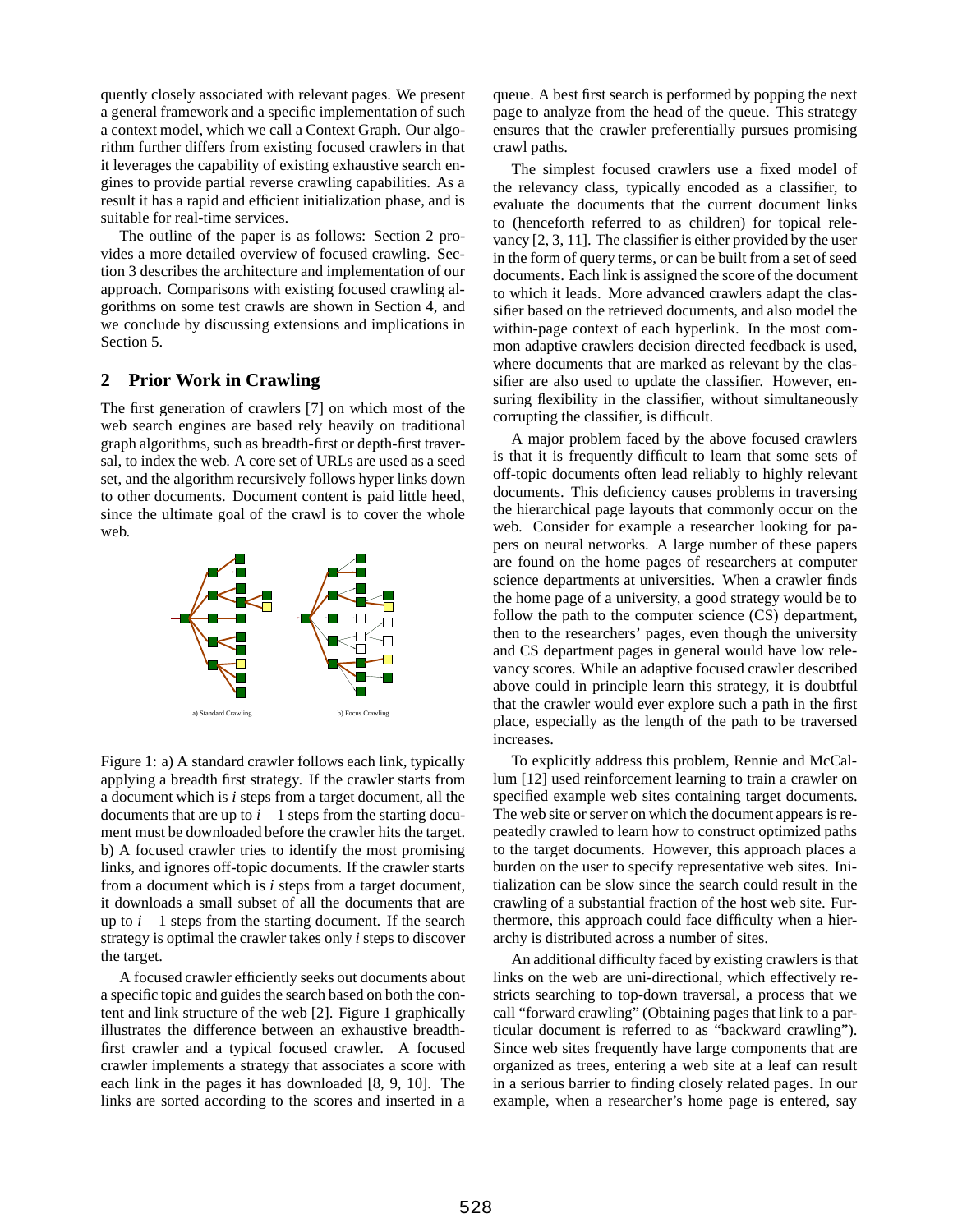quently closely associated with relevant pages. We present a general framework and a specific implementation of such a context model, which we call a Context Graph. Our algorithm further differs from existing focused crawlers in that it leverages the capability of existing exhaustive search engines to provide partial reverse crawling capabilities. As a result it has a rapid and efficient initialization phase, and is suitable for real-time services.

The outline of the paper is as follows: Section 2 provides a more detailed overview of focused crawling. Section 3 describes the architecture and implementation of our approach. Comparisons with existing focused crawling algorithms on some test crawls are shown in Section 4, and we conclude by discussing extensions and implications in Section 5.

# **2 Prior Work in Crawling**

The first generation of crawlers [7] on which most of the web search engines are based rely heavily on traditional graph algorithms, such as breadth-first or depth-first traversal, to index the web. A core set of URLs are used as a seed set, and the algorithm recursively follows hyper links down to other documents. Document content is paid little heed, since the ultimate goal of the crawl is to cover the whole web.



Figure 1: a) A standard crawler follows each link, typically applying a breadth first strategy. If the crawler starts from a document which is *i* steps from a target document, all the documents that are up to  $i - 1$  steps from the starting document must be downloaded before the crawler hits the target. b) A focused crawler tries to identify the most promising links, and ignores off-topic documents. If the crawler starts from a document which is *i* steps from a target document, it downloads a small subset of all the documents that are up to  $i - 1$  steps from the starting document. If the search strategy is optimal the crawler takes only *i* steps to discover the target.

A focused crawler efficiently seeks out documents about a specific topic and guides the search based on both the content and link structure of the web [2]. Figure 1 graphically illustrates the difference between an exhaustive breadthfirst crawler and a typical focused crawler. A focused crawler implements a strategy that associates a score with each link in the pages it has downloaded [8, 9, 10]. The links are sorted according to the scores and inserted in a

queue. A best first search is performed by popping the next page to analyze from the head of the queue. This strategy ensures that the crawler preferentially pursues promising crawl paths.

The simplest focused crawlers use a fixed model of the relevancy class, typically encoded as a classifier, to evaluate the documents that the current document links to (henceforth referred to as children) for topical relevancy [2, 3, 11]. The classifier is either provided by the user in the form of query terms, or can be built from a set of seed documents. Each link is assigned the score of the document to which it leads. More advanced crawlers adapt the classifier based on the retrieved documents, and also model the within-page context of each hyperlink. In the most common adaptive crawlers decision directed feedback is used, where documents that are marked as relevant by the classifier are also used to update the classifier. However, ensuring flexibility in the classifier, without simultaneously corrupting the classifier, is difficult.

A major problem faced by the above focused crawlers is that it is frequently difficult to learn that some sets of off-topic documents often lead reliably to highly relevant documents. This deficiency causes problems in traversing the hierarchical page layouts that commonly occur on the web. Consider for example a researcher looking for papers on neural networks. A large number of these papers are found on the home pages of researchers at computer science departments at universities. When a crawler finds the home page of a university, a good strategy would be to follow the path to the computer science (CS) department, then to the researchers' pages, even though the university and CS department pages in general would have low relevancy scores. While an adaptive focused crawler described above could in principle learn this strategy, it is doubtful that the crawler would ever explore such a path in the first place, especially as the length of the path to be traversed increases.

To explicitly address this problem, Rennie and McCallum [12] used reinforcement learning to train a crawler on specified example web sites containing target documents. The web site or server on which the document appears is repeatedly crawled to learn how to construct optimized paths to the target documents. However, this approach places a burden on the user to specify representative web sites. Initialization can be slow since the search could result in the crawling of a substantial fraction of the host web site. Furthermore, this approach could face difficulty when a hierarchy is distributed across a number of sites.

An additional difficulty faced by existing crawlers is that links on the web are uni-directional, which effectively restricts searching to top-down traversal, a process that we call "forward crawling" (Obtaining pages that link to a particular document is referred to as "backward crawling"). Since web sites frequently have large components that are organized as trees, entering a web site at a leaf can result in a serious barrier to finding closely related pages. In our example, when a researcher's home page is entered, say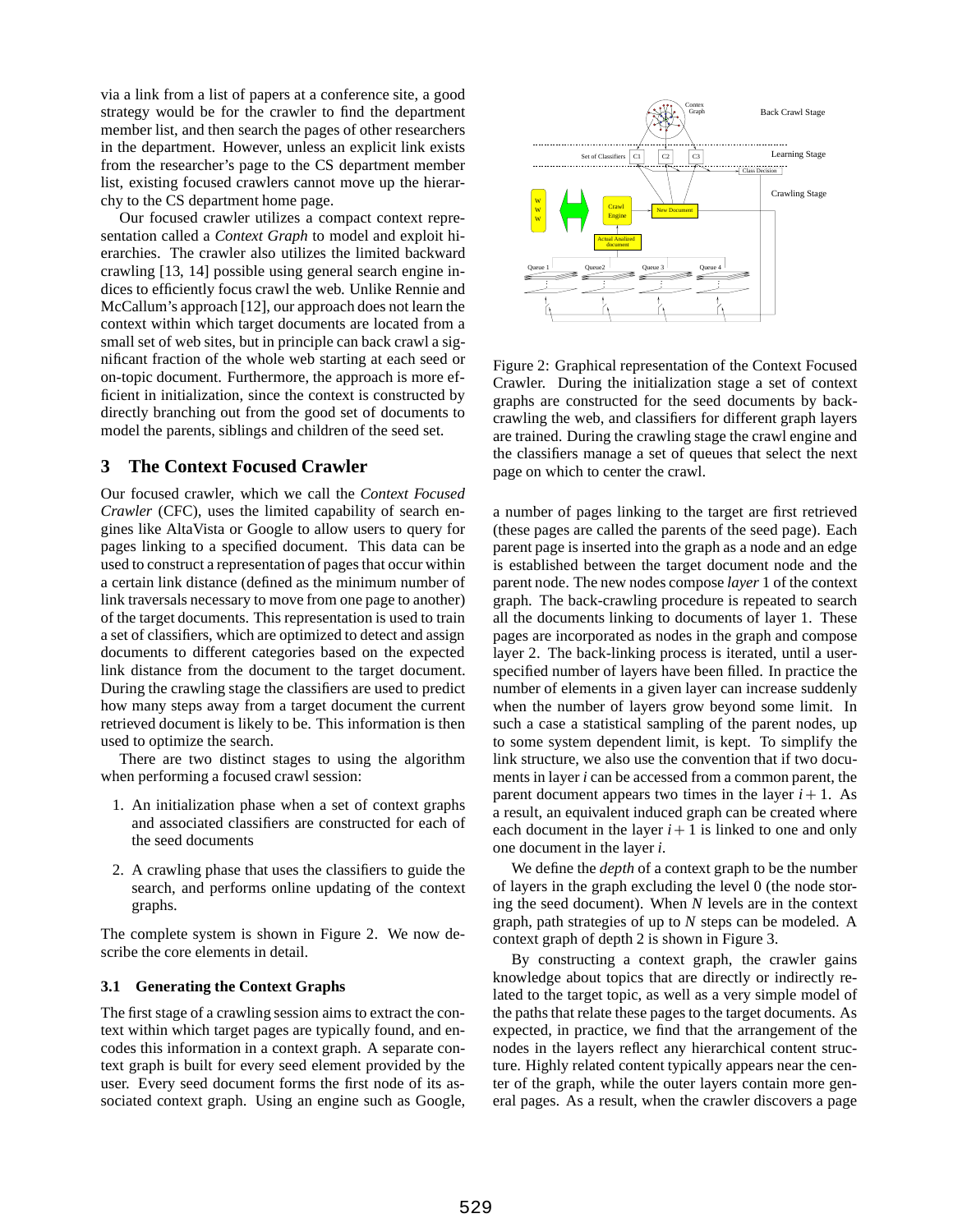via a link from a list of papers at a conference site, a good strategy would be for the crawler to find the department member list, and then search the pages of other researchers in the department. However, unless an explicit link exists from the researcher's page to the CS department member list, existing focused crawlers cannot move up the hierarchy to the CS department home page.

Our focused crawler utilizes a compact context representation called a *Context Graph* to model and exploit hierarchies. The crawler also utilizes the limited backward crawling [13, 14] possible using general search engine indices to efficiently focus crawl the web. Unlike Rennie and McCallum's approach [12], our approach does not learn the context within which target documents are located from a small set of web sites, but in principle can back crawl a significant fraction of the whole web starting at each seed or on-topic document. Furthermore, the approach is more efficient in initialization, since the context is constructed by directly branching out from the good set of documents to model the parents, siblings and children of the seed set.

# **3 The Context Focused Crawler**

Our focused crawler, which we call the *Context Focused Crawler* (CFC), uses the limited capability of search engines like AltaVista or Google to allow users to query for pages linking to a specified document. This data can be used to construct a representation of pages that occur within a certain link distance (defined as the minimum number of link traversals necessary to move from one page to another) of the target documents. This representation is used to train a set of classifiers, which are optimized to detect and assign documents to different categories based on the expected link distance from the document to the target document. During the crawling stage the classifiers are used to predict how many steps away from a target document the current retrieved document is likely to be. This information is then used to optimize the search.

There are two distinct stages to using the algorithm when performing a focused crawl session:

- 1. An initialization phase when a set of context graphs and associated classifiers are constructed for each of the seed documents
- 2. A crawling phase that uses the classifiers to guide the search, and performs online updating of the context graphs.

The complete system is shown in Figure 2. We now describe the core elements in detail.

## **3.1 Generating the Context Graphs**

The first stage of a crawling session aims to extract the context within which target pages are typically found, and encodes this information in a context graph. A separate context graph is built for every seed element provided by the user. Every seed document forms the first node of its associated context graph. Using an engine such as Google,



Figure 2: Graphical representation of the Context Focused Crawler. During the initialization stage a set of context graphs are constructed for the seed documents by backcrawling the web, and classifiers for different graph layers are trained. During the crawling stage the crawl engine and the classifiers manage a set of queues that select the next page on which to center the crawl.

a number of pages linking to the target are first retrieved (these pages are called the parents of the seed page). Each parent page is inserted into the graph as a node and an edge is established between the target document node and the parent node. The new nodes compose *layer* 1 of the context graph. The back-crawling procedure is repeated to search all the documents linking to documents of layer 1. These pages are incorporated as nodes in the graph and compose layer 2. The back-linking process is iterated, until a userspecified number of layers have been filled. In practice the number of elements in a given layer can increase suddenly when the number of layers grow beyond some limit. In such a case a statistical sampling of the parent nodes, up to some system dependent limit, is kept. To simplify the link structure, we also use the convention that if two documents in layer *i* can be accessed from a common parent, the parent document appears two times in the layer  $i + 1$ . As a result, an equivalent induced graph can be created where each document in the layer  $i + 1$  is linked to one and only one document in the layer *i*.

We define the *depth* of a context graph to be the number of layers in the graph excluding the level 0 (the node storing the seed document). When *N* levels are in the context graph, path strategies of up to *N* steps can be modeled. A context graph of depth 2 is shown in Figure 3.

By constructing a context graph, the crawler gains knowledge about topics that are directly or indirectly related to the target topic, as well as a very simple model of the paths that relate these pages to the target documents. As expected, in practice, we find that the arrangement of the nodes in the layers reflect any hierarchical content structure. Highly related content typically appears near the center of the graph, while the outer layers contain more general pages. As a result, when the crawler discovers a page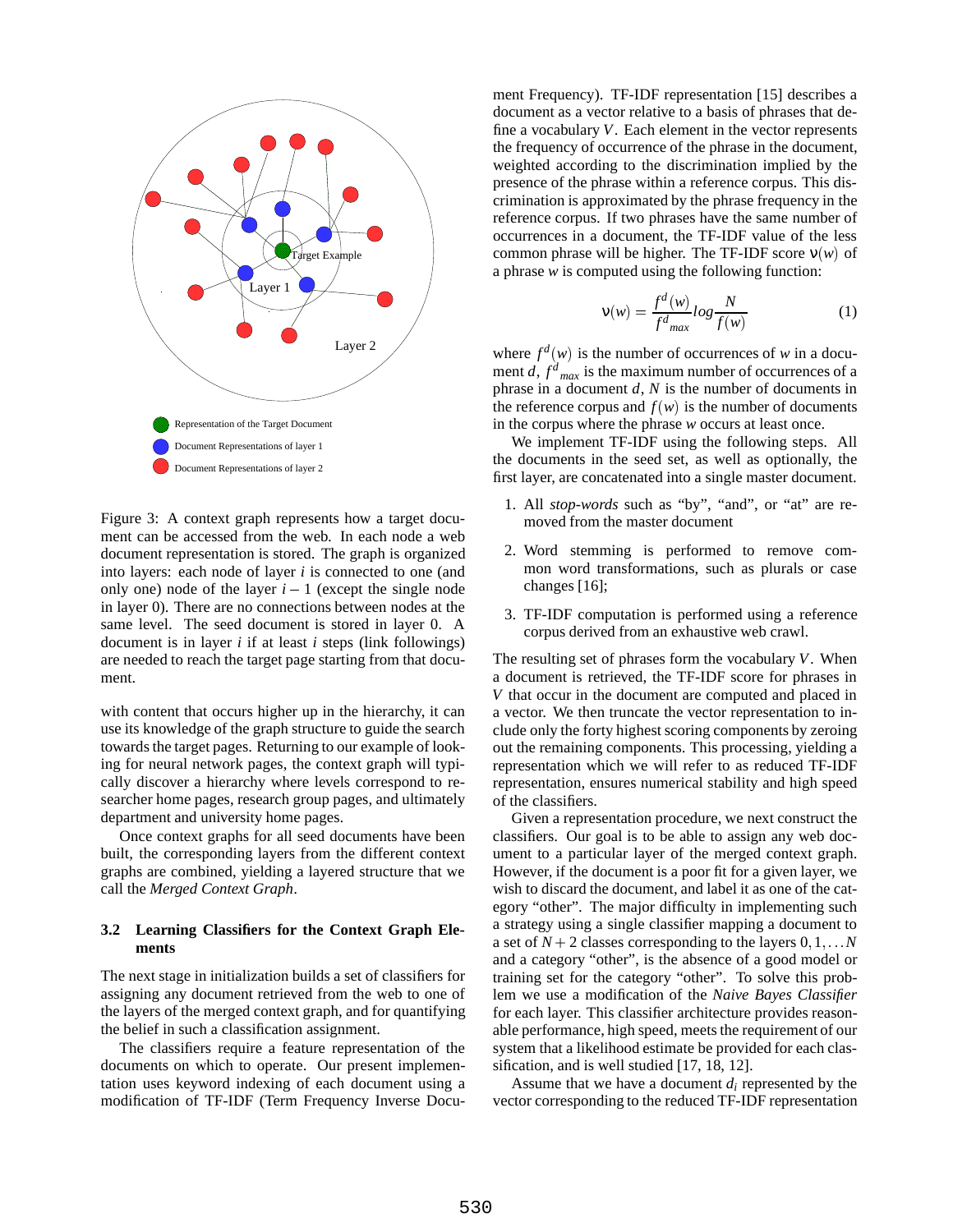

Figure 3: A context graph represents how a target document can be accessed from the web. In each node a web document representation is stored. The graph is organized into layers: each node of layer *i* is connected to one (and only one) node of the layer  $i - 1$  (except the single node in layer 0). There are no connections between nodes at the same level. The seed document is stored in layer 0. A document is in layer *i* if at least *i* steps (link followings) are needed to reach the target page starting from that document.

with content that occurs higher up in the hierarchy, it can use its knowledge of the graph structure to guide the search towards the target pages. Returning to our example of looking for neural network pages, the context graph will typically discover a hierarchy where levels correspond to researcher home pages, research group pages, and ultimately department and university home pages.

Once context graphs for all seed documents have been built, the corresponding layers from the different context graphs are combined, yielding a layered structure that we call the *Merged Context Graph*.

#### **3.2 Learning Classifiers for the Context Graph Elements**

The next stage in initialization builds a set of classifiers for assigning any document retrieved from the web to one of the layers of the merged context graph, and for quantifying the belief in such a classification assignment.

The classifiers require a feature representation of the documents on which to operate. Our present implementation uses keyword indexing of each document using a modification of TF-IDF (Term Frequency Inverse Document Frequency). TF-IDF representation [15] describes a document as a vector relative to a basis of phrases that define a vocabulary *V*. Each element in the vector represents the frequency of occurrence of the phrase in the document, weighted according to the discrimination implied by the presence of the phrase within a reference corpus. This discrimination is approximated by the phrase frequency in the reference corpus. If two phrases have the same number of occurrences in a document, the TF-IDF value of the less common phrase will be higher. The TF-IDF score ν(*w*) of a phrase *w* is computed using the following function:

$$
\mathbf{v}(w) = \frac{f^d(w)}{f^d_{max}} \log \frac{N}{f(w)} \tag{1}
$$

where  $f^d(w)$  is the number of occurrences of *w* in a document  $d$ ,  $f^d$ <sub>max</sub> is the maximum number of occurrences of a phrase in a document *d*, *N* is the number of documents in the reference corpus and  $f(w)$  is the number of documents in the corpus where the phrase *w* occurs at least once.

We implement TF-IDF using the following steps. All the documents in the seed set, as well as optionally, the first layer, are concatenated into a single master document.

- 1. All *stop-words* such as "by", "and", or "at" are removed from the master document
- 2. Word stemming is performed to remove common word transformations, such as plurals or case changes [16];
- 3. TF-IDF computation is performed using a reference corpus derived from an exhaustive web crawl.

The resulting set of phrases form the vocabulary *V*. When a document is retrieved, the TF-IDF score for phrases in *V* that occur in the document are computed and placed in a vector. We then truncate the vector representation to include only the forty highest scoring components by zeroing out the remaining components. This processing, yielding a representation which we will refer to as reduced TF-IDF representation, ensures numerical stability and high speed of the classifiers.

Given a representation procedure, we next construct the classifiers. Our goal is to be able to assign any web document to a particular layer of the merged context graph. However, if the document is a poor fit for a given layer, we wish to discard the document, and label it as one of the category "other". The major difficulty in implementing such a strategy using a single classifier mapping a document to a set of  $N + 2$  classes corresponding to the layers  $0, 1, \ldots N$ and a category "other", is the absence of a good model or training set for the category "other". To solve this problem we use a modification of the *Naive Bayes Classifier* for each layer. This classifier architecture provides reasonable performance, high speed, meets the requirement of our system that a likelihood estimate be provided for each classification, and is well studied [17, 18, 12].

Assume that we have a document *di* represented by the vector corresponding to the reduced TF-IDF representation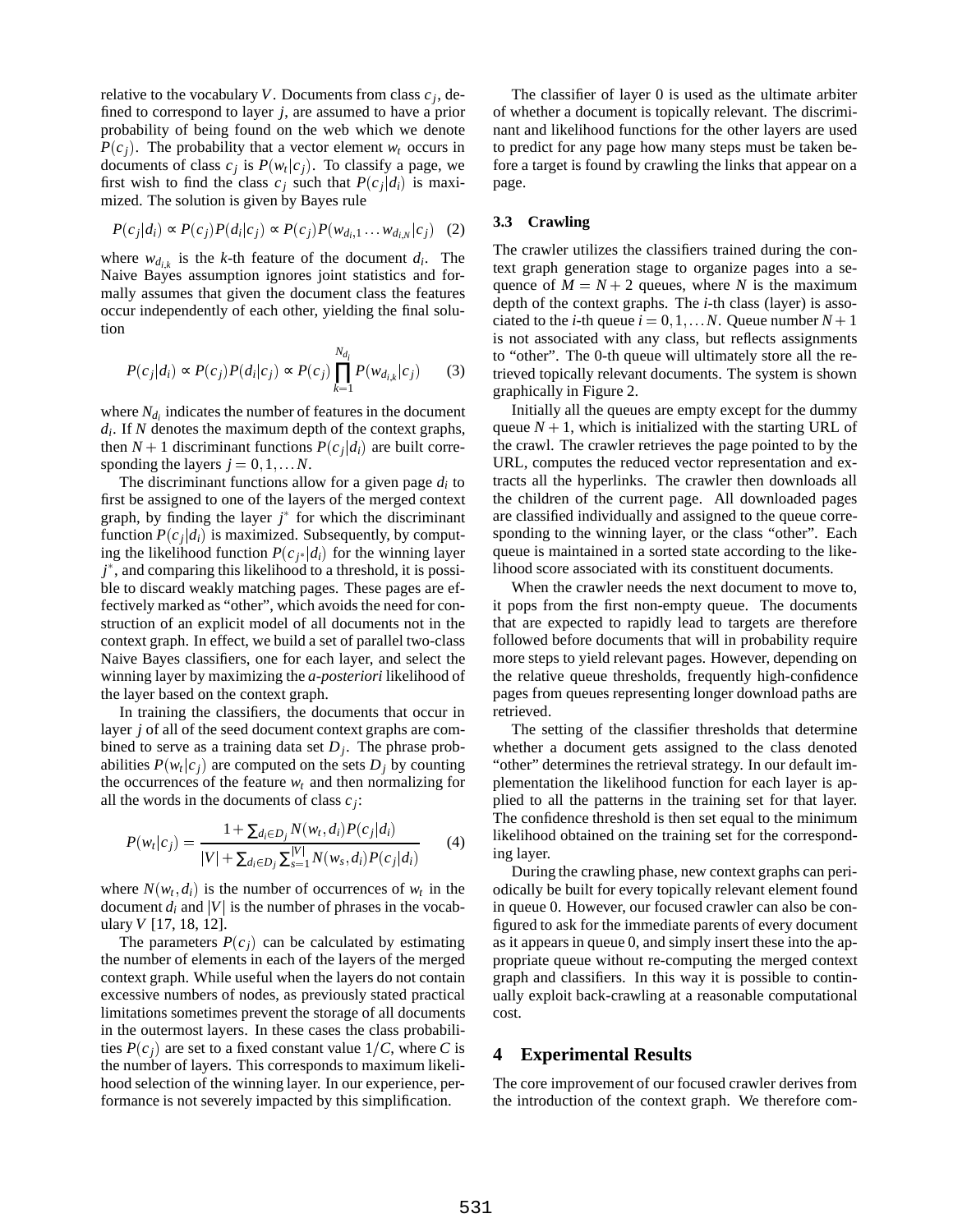relative to the vocabulary *V*. Documents from class  $c_j$ , defined to correspond to layer *j*, are assumed to have a prior probability of being found on the web which we denote  $P(c_i)$ . The probability that a vector element  $w_t$  occurs in documents of class  $c_j$  is  $P(w_t|c_j)$ . To classify a page, we first wish to find the class  $c_i$  such that  $P(c_i|d_i)$  is maximized. The solution is given by Bayes rule

$$
P(c_j|d_i) \propto P(c_j)P(d_i|c_j) \propto P(c_j)P(w_{d_i,1} \dots w_{d_i,N}|c_j) \quad (2)
$$

where  $w_{d_{i,k}}$  is the *k*-th feature of the document  $d_i$ . The Naive Bayes assumption ignores joint statistics and formally assumes that given the document class the features occur independently of each other, yielding the final solution

$$
P(c_j|d_i) \propto P(c_j)P(d_i|c_j) \propto P(c_j)\prod_{k=1}^{N_{d_i}}P(w_{d_{i,k}}|c_j)
$$
 (3)

where  $N_{d_i}$  indicates the number of features in the document *di*. If *N* denotes the maximum depth of the context graphs, then  $N + 1$  discriminant functions  $P(c_i|d_i)$  are built corresponding the layers  $j = 0, 1, \dots N$ .

The discriminant functions allow for a given page *di* to first be assigned to one of the layers of the merged context graph, by finding the layer  $j^*$  for which the discriminant function  $P(c_i|d_i)$  is maximized. Subsequently, by computing the likelihood function  $P(c_i | d_i)$  for the winning layer *j* , and comparing this likelihood to a threshold, it is possible to discard weakly matching pages. These pages are effectively marked as "other", which avoids the need for construction of an explicit model of all documents not in the context graph. In effect, we build a set of parallel two-class Naive Bayes classifiers, one for each layer, and select the winning layer by maximizing the *a-posteriori* likelihood of the layer based on the context graph.

In training the classifiers, the documents that occur in layer *j* of all of the seed document context graphs are combined to serve as a training data set  $D_i$ . The phrase probabilities  $P(w_t|c_i)$  are computed on the sets  $D_i$  by counting the occurrences of the feature  $w_t$  and then normalizing for all the words in the documents of class *cj*:

$$
P(w_t|c_j) = \frac{1 + \sum_{d_i \in D_j} N(w_t, d_i) P(c_j|d_i)}{|V| + \sum_{d_i \in D_j} \sum_{s=1}^{|V|} N(w_s, d_i) P(c_j|d_i)} \tag{4}
$$

where  $N(w_t, d_i)$  is the number of occurrences of  $w_t$  in the document  $d_i$  and |*V*| is the number of phrases in the vocabulary *V* [17, 18, 12].

The parameters  $P(c_i)$  can be calculated by estimating the number of elements in each of the layers of the merged context graph. While useful when the layers do not contain excessive numbers of nodes, as previously stated practical limitations sometimes prevent the storage of all documents in the outermost layers. In these cases the class probabilities  $P(c_i)$  are set to a fixed constant value  $1/C$ , where *C* is the number of layers. This corresponds to maximum likelihood selection of the winning layer. In our experience, performance is not severely impacted by this simplification.

The classifier of layer 0 is used as the ultimate arbiter of whether a document is topically relevant. The discriminant and likelihood functions for the other layers are used to predict for any page how many steps must be taken before a target is found by crawling the links that appear on a page.

## **3.3 Crawling**

The crawler utilizes the classifiers trained during the context graph generation stage to organize pages into a sequence of  $M = N + 2$  queues, where *N* is the maximum depth of the context graphs. The *i*-th class (layer) is associated to the *i*-th queue  $i = 0, 1, \ldots N$ . Queue number  $N + 1$ is not associated with any class, but reflects assignments to "other". The 0-th queue will ultimately store all the retrieved topically relevant documents. The system is shown graphically in Figure 2.

Initially all the queues are empty except for the dummy queue  $N + 1$ , which is initialized with the starting URL of the crawl. The crawler retrieves the page pointed to by the URL, computes the reduced vector representation and extracts all the hyperlinks. The crawler then downloads all the children of the current page. All downloaded pages are classified individually and assigned to the queue corresponding to the winning layer, or the class "other". Each queue is maintained in a sorted state according to the likelihood score associated with its constituent documents.

When the crawler needs the next document to move to, it pops from the first non-empty queue. The documents that are expected to rapidly lead to targets are therefore followed before documents that will in probability require more steps to yield relevant pages. However, depending on the relative queue thresholds, frequently high-confidence pages from queues representing longer download paths are retrieved.

The setting of the classifier thresholds that determine whether a document gets assigned to the class denoted "other" determines the retrieval strategy. In our default implementation the likelihood function for each layer is applied to all the patterns in the training set for that layer. The confidence threshold is then set equal to the minimum likelihood obtained on the training set for the corresponding layer.

During the crawling phase, new context graphs can periodically be built for every topically relevant element found in queue 0. However, our focused crawler can also be configured to ask for the immediate parents of every document as it appears in queue 0, and simply insert these into the appropriate queue without re-computing the merged context graph and classifiers. In this way it is possible to continually exploit back-crawling at a reasonable computational cost.

## **4 Experimental Results**

The core improvement of our focused crawler derives from the introduction of the context graph. We therefore com-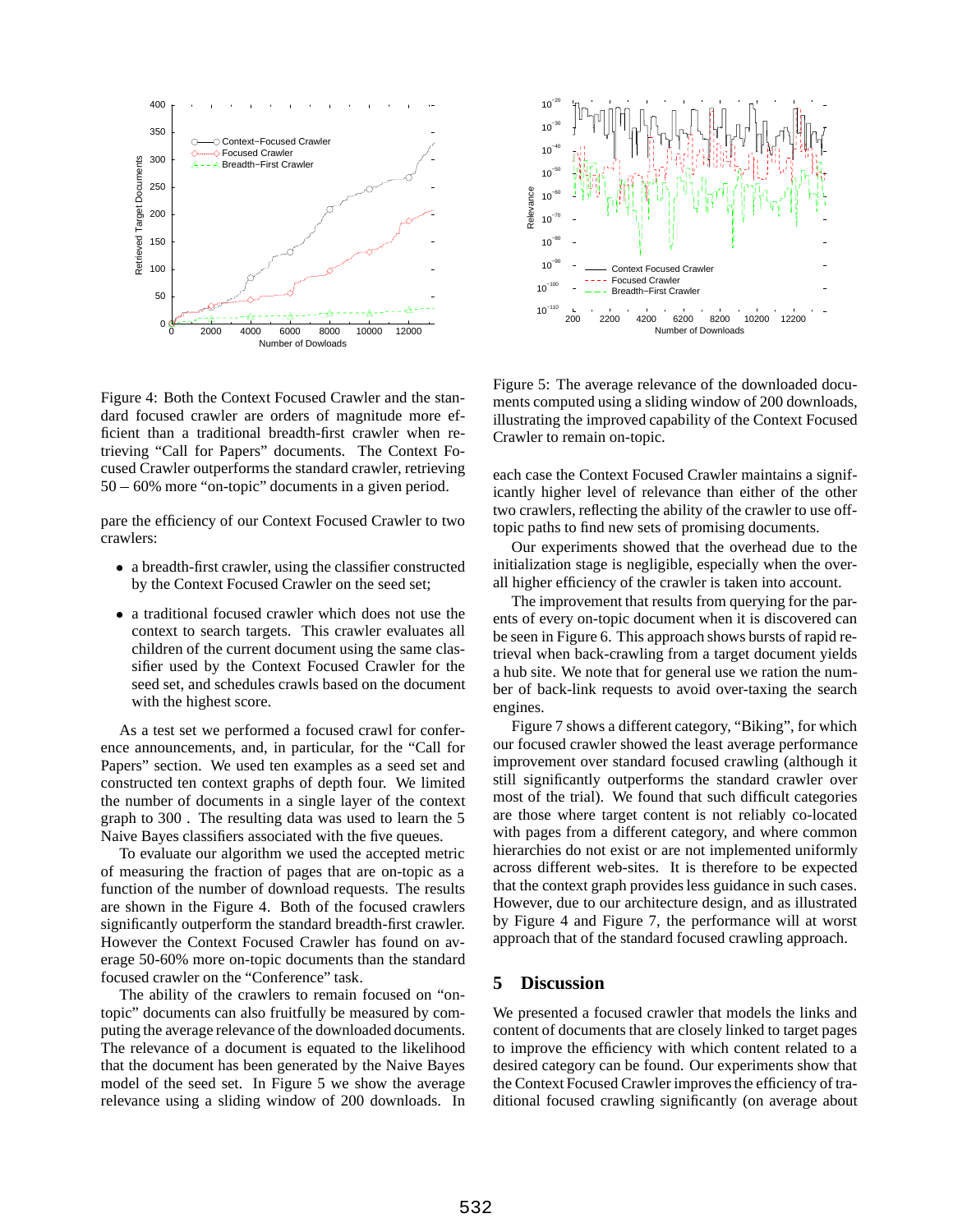

Figure 4: Both the Context Focused Crawler and the standard focused crawler are orders of magnitude more efficient than a traditional breadth-first crawler when retrieving "Call for Papers" documents. The Context Focused Crawler outperforms the standard crawler, retrieving  $50 - 60\%$  more "on-topic" documents in a given period.

pare the efficiency of our Context Focused Crawler to two crawlers:

- a breadth-first crawler, using the classifier constructed by the Context Focused Crawler on the seed set;
- a traditional focused crawler which does not use the context to search targets. This crawler evaluates all children of the current document using the same classifier used by the Context Focused Crawler for the seed set, and schedules crawls based on the document with the highest score.

As a test set we performed a focused crawl for conference announcements, and, in particular, for the "Call for Papers" section. We used ten examples as a seed set and constructed ten context graphs of depth four. We limited the number of documents in a single layer of the context graph to 300 . The resulting data was used to learn the 5 Naive Bayes classifiers associated with the five queues.

To evaluate our algorithm we used the accepted metric of measuring the fraction of pages that are on-topic as a function of the number of download requests. The results are shown in the Figure 4. Both of the focused crawlers significantly outperform the standard breadth-first crawler. However the Context Focused Crawler has found on average 50-60% more on-topic documents than the standard focused crawler on the "Conference" task.

The ability of the crawlers to remain focused on "ontopic" documents can also fruitfully be measured by computing the average relevance of the downloaded documents. The relevance of a document is equated to the likelihood that the document has been generated by the Naive Bayes model of the seed set. In Figure 5 we show the average relevance using a sliding window of 200 downloads. In



Figure 5: The average relevance of the downloaded documents computed using a sliding window of 200 downloads, illustrating the improved capability of the Context Focused Crawler to remain on-topic.

each case the Context Focused Crawler maintains a significantly higher level of relevance than either of the other two crawlers, reflecting the ability of the crawler to use offtopic paths to find new sets of promising documents.

Our experiments showed that the overhead due to the initialization stage is negligible, especially when the overall higher efficiency of the crawler is taken into account.

The improvement that results from querying for the parents of every on-topic document when it is discovered can be seen in Figure 6. This approach shows bursts of rapid retrieval when back-crawling from a target document yields a hub site. We note that for general use we ration the number of back-link requests to avoid over-taxing the search engines.

Figure 7 shows a different category, "Biking", for which our focused crawler showed the least average performance improvement over standard focused crawling (although it still significantly outperforms the standard crawler over most of the trial). We found that such difficult categories are those where target content is not reliably co-located with pages from a different category, and where common hierarchies do not exist or are not implemented uniformly across different web-sites. It is therefore to be expected that the context graph provides less guidance in such cases. However, due to our architecture design, and as illustrated by Figure 4 and Figure 7, the performance will at worst approach that of the standard focused crawling approach.

## **5 Discussion**

We presented a focused crawler that models the links and content of documents that are closely linked to target pages to improve the efficiency with which content related to a desired category can be found. Our experiments show that the Context Focused Crawler improves the efficiency of traditional focused crawling significantly (on average about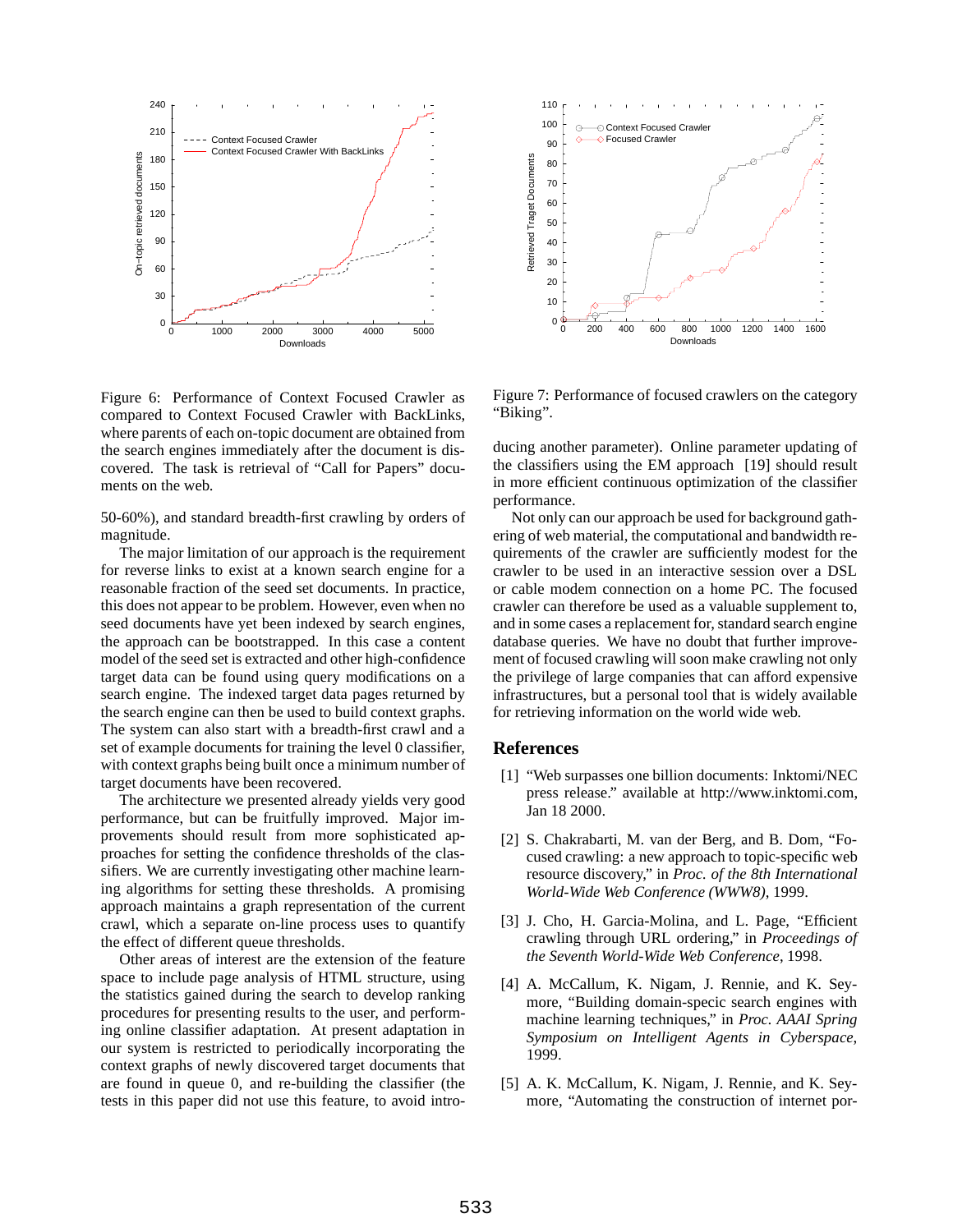

Figure 6: Performance of Context Focused Crawler as compared to Context Focused Crawler with BackLinks, where parents of each on-topic document are obtained from the search engines immediately after the document is discovered. The task is retrieval of "Call for Papers" documents on the web.

50-60%), and standard breadth-first crawling by orders of magnitude.

The major limitation of our approach is the requirement for reverse links to exist at a known search engine for a reasonable fraction of the seed set documents. In practice, this does not appear to be problem. However, even when no seed documents have yet been indexed by search engines, the approach can be bootstrapped. In this case a content model of the seed set is extracted and other high-confidence target data can be found using query modifications on a search engine. The indexed target data pages returned by the search engine can then be used to build context graphs. The system can also start with a breadth-first crawl and a set of example documents for training the level 0 classifier, with context graphs being built once a minimum number of target documents have been recovered.

The architecture we presented already yields very good performance, but can be fruitfully improved. Major improvements should result from more sophisticated approaches for setting the confidence thresholds of the classifiers. We are currently investigating other machine learning algorithms for setting these thresholds. A promising approach maintains a graph representation of the current crawl, which a separate on-line process uses to quantify the effect of different queue thresholds.

Other areas of interest are the extension of the feature space to include page analysis of HTML structure, using the statistics gained during the search to develop ranking procedures for presenting results to the user, and performing online classifier adaptation. At present adaptation in our system is restricted to periodically incorporating the context graphs of newly discovered target documents that are found in queue 0, and re-building the classifier (the tests in this paper did not use this feature, to avoid intro-



Figure 7: Performance of focused crawlers on the category "Biking".

ducing another parameter). Online parameter updating of the classifiers using the EM approach [19] should result in more efficient continuous optimization of the classifier performance.

Not only can our approach be used for background gathering of web material, the computational and bandwidth requirements of the crawler are sufficiently modest for the crawler to be used in an interactive session over a DSL or cable modem connection on a home PC. The focused crawler can therefore be used as a valuable supplement to, and in some cases a replacement for, standard search engine database queries. We have no doubt that further improvement of focused crawling will soon make crawling not only the privilege of large companies that can afford expensive infrastructures, but a personal tool that is widely available for retrieving information on the world wide web.

#### **References**

- [1] "Web surpasses one billion documents: Inktomi/NEC press release." available at http://www.inktomi.com, Jan 18 2000.
- [2] S. Chakrabarti, M. van der Berg, and B. Dom, "Focused crawling: a new approach to topic-specific web resource discovery," in *Proc. of the 8th International World-Wide Web Conference (WWW8)*, 1999.
- [3] J. Cho, H. Garcia-Molina, and L. Page, "Efficient crawling through URL ordering," in *Proceedings of the Seventh World-Wide Web Conference*, 1998.
- [4] A. McCallum, K. Nigam, J. Rennie, and K. Seymore, "Building domain-specic search engines with machine learning techniques," in *Proc. AAAI Spring Symposium on Intelligent Agents in Cyberspace*, 1999.
- [5] A. K. McCallum, K. Nigam, J. Rennie, and K. Seymore, "Automating the construction of internet por-